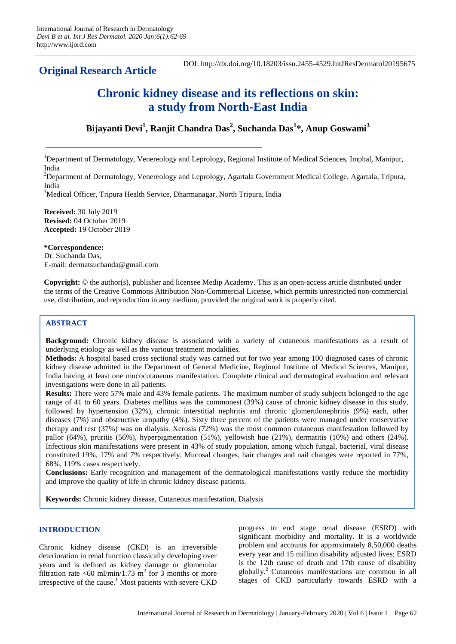**Original Research Article** 

DOI: http://dx.doi.org/10.18203/issn.2455-4529.IntJResDermatol20195675

# **Chronic kidney disease and its reflections on skin: a study from North-East India**

**Bijayanti Devi<sup>1</sup> , Ranjit Chandra Das<sup>2</sup> , Suchanda Das<sup>1</sup> \*, Anup Goswami<sup>3</sup>**

<sup>1</sup>Department of Dermatology, Venereology and Leprology, Regional Institute of Medical Sciences, Imphal, Manipur, India

<sup>2</sup>Department of Dermatology, Venereology and Leprology, Agartala Government Medical College, Agartala, Tripura, India

<sup>3</sup>Medical Officer, Tripura Health Service, Dharmanagar, North Tripura, India

**Received:** 30 July 2019 **Revised:** 04 October 2019 **Accepted:** 19 October 2019

**\*Correspondence:**

Dr. Suchanda Das, E-mail: dermatsuchanda@gmail.com

**Copyright:** © the author(s), publisher and licensee Medip Academy. This is an open-access article distributed under the terms of the Creative Commons Attribution Non-Commercial License, which permits unrestricted non-commercial use, distribution, and reproduction in any medium, provided the original work is properly cited.

# **ABSTRACT**

**Background:** Chronic kidney disease is associated with a variety of cutaneous manifestations as a result of underlying etiology as well as the various treatment modalities.

**Methods:** A hospital based cross sectional study was carried out for two year among 100 diagnosed cases of chronic kidney disease admitted in the Department of General Medicine, Regional Institute of Medical Sciences, Manipur, India having at least one mucocutaneous manifestation. Complete clinical and dermatogical evaluation and relevant investigations were done in all patients.

**Results:** There were 57% male and 43% female patients. The maximum number of study subjects belonged to the age range of 41 to 60 years. Diabetes mellitus was the commonest (39%) cause of chronic kidney disease in this study, followed by hypertension (32%), chronic interstitial nephritis and chronic glomerulonephritis (9%) each, other diseases (7%) and obstructive uropathy (4%). Sixty three percent of the patients were managed under conservative therapy and rest (37%) was on dialysis. Xerosis (72%) was the most common cutaneous manifestation followed by pallor (64%), pruritis (56%), hyperpigmentation (51%), yellowish hue (21%), dermatitis (10%) and others (24%). Infectious skin manifestations were present in 43% of study population, among which fungal, bacterial, viral disease constituted 19%, 17% and 7% respectively. Mucosal changes, hair changes and nail changes were reported in 77%, 68%, 119% cases respectively.

**Conclusions:** Early recognition and management of the dermatological manifestations vastly reduce the morbidity and improve the quality of life in chronic kidney disease patients.

**Keywords:** Chronic kidney disease, Cutaneous manifestation, Dialysis

## **INTRODUCTION**

Chronic kidney disease (CKD) is an irreversible deterioration in renal function classically developing over years and is defined as kidney damage or glomerular filtration rate <60 ml/min/1.73 m<sup>2</sup> for 3 months or more irrespective of the cause.<sup>1</sup> Most patients with severe CKD progress to end stage renal disease (ESRD) with significant morbidity and mortality. It is a worldwide problem and accounts for approximately 8,50,000 deaths every year and 15 million disability adjusted lives; ESRD is the 12th cause of death and 17th cause of disability globally.<sup>2</sup> Cutaneous manifestations are common in all stages of CKD particularly towards ESRD with a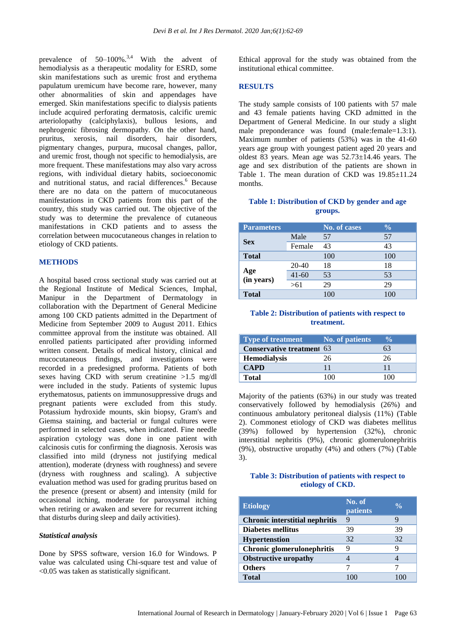prevalence of  $50-100\%$ .<sup>3,4</sup> With the advent of hemodialysis as a therapeutic modality for ESRD, some skin manifestations such as uremic frost and erythema papulatum uremicum have become rare, however, many other abnormalities of skin and appendages have emerged. Skin manifestations specific to dialysis patients include acquired perforating dermatosis, calcific uremic arteriolopathy (calciphylaxis), bullous lesions, and nephrogenic fibrosing dermopathy. On the other hand, pruritus, xerosis, nail disorders, hair disorders, pigmentary changes, purpura, mucosal changes, pallor, and uremic frost, though not specific to hemodialysis, are more frequent. These manifestations may also vary across regions, with individual dietary habits, socioeconomic and nutritional status, and racial differences.<sup>6</sup> Because there are no data on the pattern of mucocutaneous manifestations in CKD patients from this part of the country, this study was carried out. The objective of the study was to determine the prevalence of cutaneous manifestations in CKD patients and to assess the correlation between mucocutaneous changes in relation to etiology of CKD patients.

#### **METHODS**

A hospital based cross sectional study was carried out at the Regional Institute of Medical Sciences, Imphal, Manipur in the Department of Dermatology in collaboration with the Department of General Medicine among 100 CKD patients admitted in the Department of Medicine from September 2009 to August 2011. Ethics committee approval from the institute was obtained. All enrolled patients participated after providing informed written consent. Details of medical history, clinical and mucocutaneous findings, and investigations were recorded in a predesigned proforma. Patients of both sexes having CKD with serum creatinine >1.5 mg/dl were included in the study. Patients of systemic lupus erythematosus, patients on immunosuppressive drugs and pregnant patients were excluded from this study. Potassium hydroxide mounts, skin biopsy, Gram's and Giemsa staining, and bacterial or fungal cultures were performed in selected cases, when indicated. Fine needle aspiration cytology was done in one patient with calcinosis cutis for confirming the diagnosis. Xerosis was classified into mild (dryness not justifying medical attention), moderate (dryness with roughness) and severe (dryness with roughness and scaling). A subjective evaluation method was used for grading pruritus based on the presence (present or absent) and intensity (mild for occasional itching, moderate for paroxysmal itching when retiring or awaken and severe for recurrent itching that disturbs during sleep and daily activities).

#### *Statistical analysis*

Done by SPSS software, version 16.0 for Windows. P value was calculated using Chi-square test and value of <0.05 was taken as statistically significant.

Ethical approval for the study was obtained from the institutional ethical committee.

#### **RESULTS**

The study sample consists of 100 patients with 57 male and 43 female patients having CKD admitted in the Department of General Medicine. In our study a slight male preponderance was found (male:female=1.3:1). Maximum number of patients (53%) was in the 41-60 years age group with youngest patient aged 20 years and oldest 83 years. Mean age was 52.73±14.46 years. The age and sex distribution of the patients are shown in Table 1. The mean duration of CKD was  $19.85 \pm 11.24$ months.

#### **Table 1: Distribution of CKD by gender and age groups.**

| <b>Parameters</b> |           | No. of cases | $\frac{0}{0}$ |
|-------------------|-----------|--------------|---------------|
| <b>Sex</b>        | Male      | 57           | 57            |
|                   | Female    | 43           | 43            |
| <b>Total</b>      |           | 100          | 100           |
| Age<br>(in years) | 20-40     | 18           | 18            |
|                   | $41 - 60$ | 53           | 53            |
|                   | >61       | 29           | 29            |
| <b>Total</b>      |           | 100          | 100           |

## **Table 2: Distribution of patients with respect to treatment.**

| <b>Type of treatment</b>         | No. of patients | $\frac{6}{10}$ |
|----------------------------------|-----------------|----------------|
| <b>Conservative treatment 63</b> |                 | 63             |
| <b>Hemodialysis</b>              | 26              | 26             |
| <b>CAPD</b>                      |                 | 11             |
| Total                            |                 | 1 ( ) ( )      |

Majority of the patients (63%) in our study was treated conservatively followed by hemodialysis (26%) and continuous ambulatory peritoneal dialysis (11%) (Table 2). Commonest etiology of CKD was diabetes mellitus (39%) followed by hypertension (32%), chronic interstitial nephritis (9%), chronic glomerulonephritis (9%), obstructive uropathy (4%) and others (7%) (Table 3).

#### **Table 3: Distribution of patients with respect to etiology of CKD.**

| <b>Etiology</b>                       | No. of<br>patients | $\frac{0}{\alpha}$ |
|---------------------------------------|--------------------|--------------------|
| <b>Chronic interstitial nephritis</b> | 9                  | 9                  |
| Diabetes mellitus                     | 39                 | 39                 |
| <b>Hypertenstion</b>                  | 32                 | 32                 |
| Chronic glomerulonephritis            | 9                  | 9                  |
| <b>Obstructive uropathy</b>           |                    |                    |
| <b>Others</b>                         |                    |                    |
| <b>Total</b>                          |                    |                    |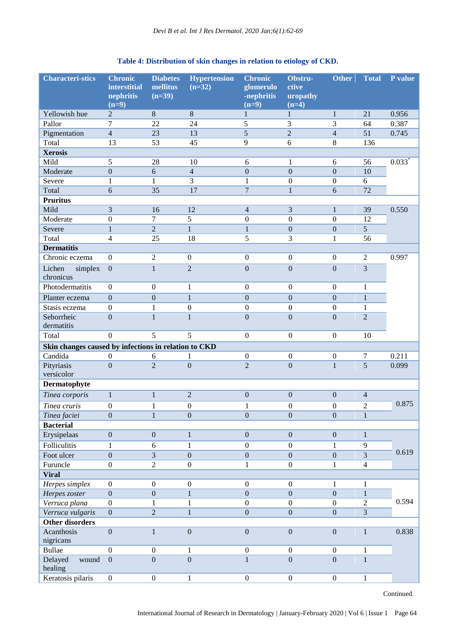# **Table 4: Distribution of skin changes in relation to etiology of CKD.**

| <b>Characteri-stics</b>                              | <b>Chronic</b><br><b>interstitial</b><br>nephritis<br>$(n=9)$ | <b>Diabetes</b><br>mellitus<br>$(n=39)$ | <b>Hypertension</b><br>$(n=32)$ | <b>Chronic</b><br>glomerulo<br>-nephritis<br>$(n=9)$ | Obstru-<br>ctive<br>uropathy<br>$(n=4)$ | <b>Other</b>     | <b>Total</b>     | P value              |
|------------------------------------------------------|---------------------------------------------------------------|-----------------------------------------|---------------------------------|------------------------------------------------------|-----------------------------------------|------------------|------------------|----------------------|
| Yellowish hue                                        | 2                                                             | $\,8\,$                                 | 8                               | 1                                                    | 1                                       | 1                | 21               | 0.956                |
| Pallor                                               | $\overline{7}$                                                | 22                                      | 24                              | 5                                                    | 3                                       | 3                | 64               | 0.387                |
| Pigmentation                                         | $\overline{4}$                                                | 23                                      | 13                              | 5                                                    | $\overline{2}$                          | $\overline{4}$   | 51               | 0.745                |
| Total                                                | 13                                                            | 53                                      | 45                              | 9                                                    | 6                                       | 8                | 136              |                      |
| <b>Xerosis</b>                                       |                                                               |                                         |                                 |                                                      |                                         |                  |                  |                      |
| Mild                                                 | 5                                                             | 28                                      | 10                              | 6                                                    | 1                                       | 6                | 56               | $0.033$ <sup>*</sup> |
| Moderate                                             | $\boldsymbol{0}$                                              | 6                                       | $\overline{4}$                  | $\boldsymbol{0}$                                     | $\overline{0}$                          | $\boldsymbol{0}$ | 10               |                      |
| Severe                                               | $\mathbf{1}$                                                  | $\mathbf{1}$                            | 3                               | 1                                                    | $\boldsymbol{0}$                        | $\boldsymbol{0}$ | 6                |                      |
| Total                                                | 6                                                             | 35                                      | 17                              | $\boldsymbol{7}$                                     | $\mathbf{1}$                            | $\overline{6}$   | 72               |                      |
| <b>Pruritus</b>                                      |                                                               |                                         |                                 |                                                      |                                         |                  |                  |                      |
| Mild                                                 | 3                                                             | 16                                      | 12                              | $\overline{4}$                                       | $\overline{3}$                          | $\mathbf{1}$     | 39               | 0.550                |
| Moderate                                             | $\boldsymbol{0}$                                              | $\tau$                                  | 5                               | $\boldsymbol{0}$                                     | $\boldsymbol{0}$                        | $\boldsymbol{0}$ | 12               |                      |
| Severe                                               | $\mathbf{1}$                                                  | $\overline{c}$                          | $\mathbf{1}$                    | $\mathbf{1}$                                         | $\boldsymbol{0}$                        | $\boldsymbol{0}$ | 5                |                      |
| Total                                                | $\overline{4}$                                                | 25                                      | 18                              | 5                                                    | $\overline{3}$                          | $\mathbf{1}$     | 56               |                      |
| <b>Dermatitis</b>                                    |                                                               |                                         |                                 |                                                      |                                         |                  |                  |                      |
| Chronic eczema                                       | $\boldsymbol{0}$                                              | $\sqrt{2}$                              | $\boldsymbol{0}$                | $\boldsymbol{0}$                                     | $\boldsymbol{0}$                        | $\boldsymbol{0}$ | $\overline{2}$   | 0.997                |
| Lichen<br>simplex<br>chronicus                       | $\boldsymbol{0}$                                              | $\mathbf{1}$                            | $\overline{2}$                  | $\overline{0}$                                       | $\overline{0}$                          | $\boldsymbol{0}$ | $\overline{3}$   |                      |
| Photodermatitis                                      | $\boldsymbol{0}$                                              | $\mathbf{0}$                            | $\mathbf{1}$                    | $\boldsymbol{0}$                                     | $\boldsymbol{0}$                        | $\overline{0}$   | $\mathbf{1}$     |                      |
| Planter eczema                                       | $\overline{0}$                                                | $\boldsymbol{0}$                        | $\mathbf{1}$                    | $\boldsymbol{0}$                                     | $\mathbf{0}$                            | $\boldsymbol{0}$ | $\mathbf{1}$     |                      |
| Stasis eczema                                        | $\boldsymbol{0}$                                              | $\mathbf{1}$                            | $\boldsymbol{0}$                | $\boldsymbol{0}$                                     | $\boldsymbol{0}$                        | $\boldsymbol{0}$ | $\mathbf{1}$     |                      |
| Seborrheic<br>dermatitis                             | $\overline{0}$                                                | $\mathbf{1}$                            | $\mathbf{1}$                    | $\overline{0}$                                       | $\overline{0}$                          | $\overline{0}$   | $\overline{2}$   |                      |
| Total                                                | $\overline{0}$                                                | 5                                       | 5                               | $\boldsymbol{0}$                                     | $\boldsymbol{0}$                        | $\boldsymbol{0}$ | 10               |                      |
| Skin changes caused by infections in relation to CKD |                                                               |                                         |                                 |                                                      |                                         |                  |                  |                      |
| Candida                                              | $\boldsymbol{0}$                                              | 6                                       | 1                               | $\boldsymbol{0}$                                     | $\boldsymbol{0}$                        | $\boldsymbol{0}$ | $\boldsymbol{7}$ | 0.211                |
| Pityriasis                                           | $\mathbf{0}$                                                  | $\overline{2}$                          | $\mathbf{0}$                    | $\overline{2}$                                       | $\overline{0}$                          | $\mathbf 1$      | $\overline{5}$   | 0.099                |
| versicolor                                           |                                                               |                                         |                                 |                                                      |                                         |                  |                  |                      |
| Dermatophyte                                         |                                                               |                                         |                                 |                                                      |                                         |                  |                  |                      |
| Tinea corporis                                       | $\mathbf{1}$                                                  | $\mathbf 1$                             | $\overline{2}$                  | $\boldsymbol{0}$                                     | $\boldsymbol{0}$                        | $\boldsymbol{0}$ | $\overline{4}$   |                      |
| Tinea cruris                                         | $\boldsymbol{0}$                                              | $\mathbf{1}$                            | $\boldsymbol{0}$                | $\mathbf{1}$                                         | $\boldsymbol{0}$                        | $\boldsymbol{0}$ | $\overline{c}$   | 0.875                |
| Tinea faciei                                         | $\overline{0}$                                                | $\mathbf 1$                             | $\overline{0}$                  | $\overline{0}$                                       | $\overline{0}$                          | $\overline{0}$   | $\overline{1}$   |                      |
| <b>Bacterial</b>                                     |                                                               |                                         |                                 |                                                      |                                         |                  |                  |                      |
| Erysipelaas                                          | $\boldsymbol{0}$                                              | $\boldsymbol{0}$                        | $\mathbf 1$                     | $\boldsymbol{0}$                                     | $\boldsymbol{0}$                        | $\boldsymbol{0}$ | $\mathbf{1}$     |                      |
| <b>Folliculitis</b>                                  | $\mathbf{1}$                                                  | 6                                       | $\mathbf{1}$                    | $\mathbf{0}$                                         | $\boldsymbol{0}$                        | $\mathbf{1}$     | 9                |                      |
| Foot ulcer                                           | $\overline{0}$                                                | 3                                       | $\overline{0}$                  | $\overline{0}$                                       | $\overline{0}$                          | $\overline{0}$   | $\overline{3}$   | 0.619                |
| Furuncle                                             | $\boldsymbol{0}$                                              | $\overline{2}$                          | $\boldsymbol{0}$                | $\mathbf{1}$                                         | $\boldsymbol{0}$                        | $\mathbf{1}$     | $\overline{4}$   |                      |
| <b>Viral</b>                                         |                                                               |                                         |                                 |                                                      |                                         |                  |                  |                      |
| Herpes simplex                                       | $\boldsymbol{0}$                                              | $\boldsymbol{0}$                        | $\boldsymbol{0}$                | $\boldsymbol{0}$                                     | $\boldsymbol{0}$                        | $\mathbf{1}$     | $\mathbf{1}$     |                      |
| Herpes zoster                                        | $\overline{0}$                                                | $\boldsymbol{0}$                        | $\mathbf{1}$                    | $\overline{0}$                                       | $\overline{0}$                          | $\overline{0}$   | $\mathbf{1}$     |                      |
| Verruca plana                                        | $\mathbf{0}$                                                  | $\mathbf{1}$                            | $\mathbf{1}$                    | $\boldsymbol{0}$                                     | $\boldsymbol{0}$                        | $\boldsymbol{0}$ | $\sqrt{2}$       | 0.594                |
| Verruca vulgaris                                     | $\boldsymbol{0}$                                              | $\overline{c}$                          | $\mathbf{1}$                    | $\overline{0}$                                       | $\overline{0}$                          | $\boldsymbol{0}$ | $\overline{3}$   |                      |
| <b>Other disorders</b>                               |                                                               |                                         |                                 |                                                      |                                         |                  |                  |                      |
| Acanthosis<br>nigricans                              | $\boldsymbol{0}$                                              | $\,1$                                   | $\overline{0}$                  | $\boldsymbol{0}$                                     | $\boldsymbol{0}$                        | $\boldsymbol{0}$ | $\,1\,$          | 0.838                |
| <b>Bullae</b>                                        | $\mathbf{0}$                                                  | $\boldsymbol{0}$                        | 1                               | $\boldsymbol{0}$                                     | $\boldsymbol{0}$                        | $\boldsymbol{0}$ | 1                |                      |
| Delayed<br>wound<br>healing                          | $\boldsymbol{0}$                                              | $\boldsymbol{0}$                        | $\boldsymbol{0}$                | $\mathbf 1$                                          | $\boldsymbol{0}$                        | $\boldsymbol{0}$ | $\mathbf{1}$     |                      |
| Keratosis pilaris                                    | $\overline{0}$                                                | $\boldsymbol{0}$                        | $\mathbf{1}$                    | $\boldsymbol{0}$                                     | $\boldsymbol{0}$                        | $\boldsymbol{0}$ | $\mathbf{1}$     |                      |

Continued.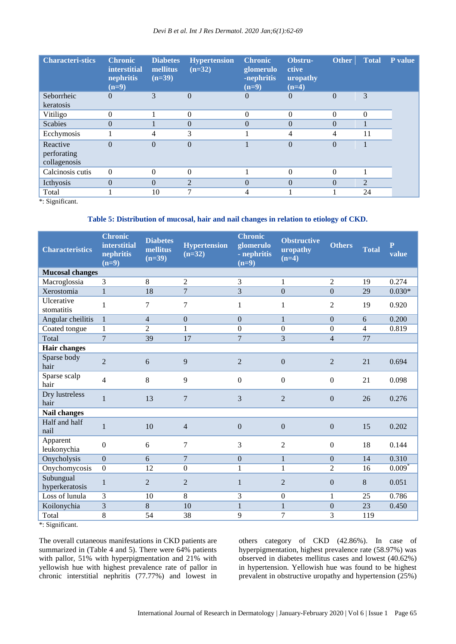| <b>Characteri-stics</b>     | <b>Chronic</b><br><i>interstitial</i><br>nephritis<br>$(n=9)$ | <b>Diabetes</b><br>mellitus<br>$(n=39)$ | <b>Hypertension</b><br>$(n=32)$ | <b>Chronic</b><br>glomerulo<br>-nephritis<br>$(n=9)$ | Obstru-<br>ctive<br>uropathy<br>$(n=4)$ | <b>Other</b> | <b>Total</b>   | P value |
|-----------------------------|---------------------------------------------------------------|-----------------------------------------|---------------------------------|------------------------------------------------------|-----------------------------------------|--------------|----------------|---------|
| Seborrheic                  | $\Omega$                                                      | 3                                       | $\Omega$                        | $\Omega$                                             | $\Omega$                                | $\Omega$     | 3              |         |
| keratosis                   |                                                               |                                         |                                 |                                                      |                                         |              |                |         |
| Vitiligo                    | 0                                                             |                                         | $\Omega$                        | $\Omega$                                             | $\Omega$                                | $\theta$     | $\theta$       |         |
| <b>Scabies</b>              | $\Omega$                                                      |                                         | $\theta$                        | $\Omega$                                             | $\theta$                                | $\theta$     |                |         |
| Ecchymosis                  |                                                               | $\overline{4}$                          | 3                               |                                                      | 4                                       | 4            | 11             |         |
| Reactive                    | $\theta$                                                      | $\overline{0}$                          | $\theta$                        |                                                      | $\theta$                                | $\theta$     |                |         |
| perforating<br>collagenosis |                                                               |                                         |                                 |                                                      |                                         |              |                |         |
| Calcinosis cutis            | $\theta$                                                      | $\theta$                                | $\theta$                        |                                                      | $\Omega$                                | $\theta$     |                |         |
| Icthyosis                   | $\Omega$                                                      | $\theta$                                | $\overline{2}$                  | $\Omega$                                             | $\Omega$                                | $\Omega$     | $\overline{2}$ |         |
| Total                       |                                                               | 10                                      | ⇁                               |                                                      |                                         |              | 24             |         |

\*: Significant.

## **Table 5: Distribution of mucosal, hair and nail changes in relation to etiology of CKD.**

| <b>Characteristics</b>      | <b>Chronic</b><br>interstitial<br>nephritis<br>$(n=9)$ | <b>Diabetes</b><br>mellitus<br>$(n=39)$ | <b>Hypertension</b><br>$(n=32)$ | <b>Chronic</b><br>glomerulo<br>- nephritis<br>$(n=9)$ | <b>Obstructive</b><br>uropathy<br>$(n=4)$ | <b>Others</b>    | <b>Total</b>   | $\mathbf{P}$<br>value |
|-----------------------------|--------------------------------------------------------|-----------------------------------------|---------------------------------|-------------------------------------------------------|-------------------------------------------|------------------|----------------|-----------------------|
| <b>Mucosal changes</b>      |                                                        |                                         |                                 |                                                       |                                           |                  |                |                       |
| Macroglossia                | $\mathcal{F}$                                          | 8                                       | $\mathfrak{D}$                  | 3                                                     | $\mathbf{1}$                              | $\overline{2}$   | 19             | 0.274                 |
| Xerostomia                  | $\mathbf{1}$                                           | 18                                      | $\overline{7}$                  | 3                                                     | $\overline{0}$                            | $\mathbf{0}$     | 29             | $0.030*$              |
| Ulcerative<br>stomatitis    | 1                                                      | 7                                       | 7                               | 1                                                     | $\mathbf{1}$                              | $\overline{2}$   | 19             | 0.920                 |
| Angular cheilitis           | $\mathbf{1}$                                           | $\overline{4}$                          | $\boldsymbol{0}$                | $\theta$                                              | $\mathbf{1}$                              | $\mathbf{0}$     | 6              | 0.200                 |
| Coated tongue               | $\mathbf{1}$                                           | $\overline{2}$                          | 1                               | $\Omega$                                              | $\overline{0}$                            | $\Omega$         | $\overline{4}$ | 0.819                 |
| Total                       | $\overline{7}$                                         | 39                                      | 17                              | $\overline{7}$                                        | 3                                         | $\overline{4}$   | 77             |                       |
| <b>Hair changes</b>         |                                                        |                                         |                                 |                                                       |                                           |                  |                |                       |
| Sparse body<br>hair         | $\overline{2}$                                         | 6                                       | 9                               | $\overline{2}$                                        | $\boldsymbol{0}$                          | $\overline{2}$   | 21             | 0.694                 |
| Sparse scalp<br>hair        | $\overline{\mathcal{L}}$                               | 8                                       | 9                               | $\boldsymbol{0}$                                      | $\boldsymbol{0}$                          | $\boldsymbol{0}$ | 21             | 0.098                 |
| Dry lustreless<br>hair      | $\mathbf{1}$                                           | 13                                      | 7                               | 3                                                     | $\overline{2}$                            | $\Omega$         | 26             | 0.276                 |
| <b>Nail changes</b>         |                                                        |                                         |                                 |                                                       |                                           |                  |                |                       |
| Half and half<br>nail       | $\mathbf{1}$                                           | 10                                      | $\overline{4}$                  | $\overline{0}$                                        | $\boldsymbol{0}$                          | $\overline{0}$   | 15             | 0.202                 |
| Apparent<br>leukonychia     | $\overline{0}$                                         | 6                                       | 7                               | 3                                                     | $\overline{2}$                            | $\boldsymbol{0}$ | 18             | 0.144                 |
| Onycholysis                 | $\overline{0}$                                         | 6                                       | $\overline{7}$                  | $\mathbf{0}$                                          | $\mathbf{1}$                              | $\Omega$         | 14             | 0.310                 |
| Onychomycosis               | $\overline{0}$                                         | 12                                      | $\boldsymbol{0}$                | $\mathbf{1}$                                          | $\mathbf{1}$                              | $\overline{2}$   | 16             | $0.009$ <sup>*</sup>  |
| Subungual<br>hyperkeratosis | $\mathbf{1}$                                           | $\overline{2}$                          | $\overline{2}$                  | $\mathbf{1}$                                          | $\overline{2}$                            | $\boldsymbol{0}$ | 8              | 0.051                 |
| Loss of lunula              | 3                                                      | 10                                      | 8                               | 3                                                     | $\boldsymbol{0}$                          | 1                | 25             | 0.786                 |
| Koilonychia                 | 3                                                      | 8                                       | 10                              | $\mathbf{1}$                                          | $\mathbf{1}$                              | $\overline{0}$   | 23             | 0.450                 |
| Total                       | 8                                                      | 54                                      | 38                              | 9                                                     | $\overline{7}$                            | 3                | 119            |                       |

\*: Significant.

The overall cutaneous manifestations in CKD patients are summarized in (Table 4 and 5). There were 64% patients with pallor, 51% with hyperpigmentation and 21% with yellowish hue with highest prevalence rate of pallor in chronic interstitial nephritis (77.77%) and lowest in

others category of CKD (42.86%). In case of hyperpigmentation, highest prevalence rate (58.97%) was observed in diabetes mellitus cases and lowest (40.62%) in hypertension. Yellowish hue was found to be highest prevalent in obstructive uropathy and hypertension (25%)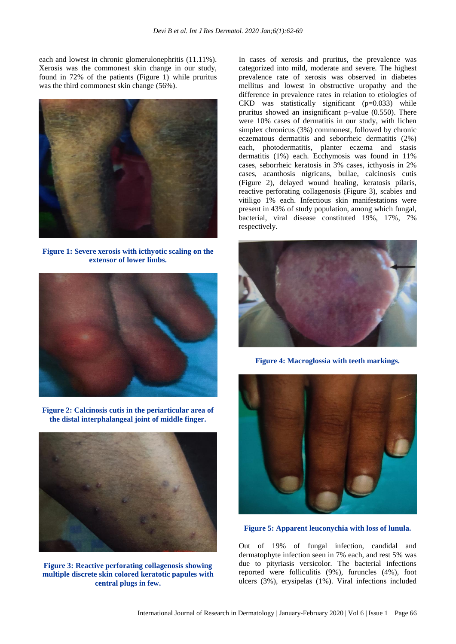each and lowest in chronic glomerulonephritis (11.11%). Xerosis was the commonest skin change in our study, found in 72% of the patients (Figure 1) while pruritus was the third commonest skin change (56%).



**Figure 1: Severe xerosis with icthyotic scaling on the extensor of lower limbs.**



**Figure 2: Calcinosis cutis in the periarticular area of the distal interphalangeal joint of middle finger.**



**Figure 3: Reactive perforating collagenosis showing multiple discrete skin colored keratotic papules with central plugs in few.**

In cases of xerosis and pruritus, the prevalence was categorized into mild, moderate and severe. The highest prevalence rate of xerosis was observed in diabetes mellitus and lowest in obstructive uropathy and the difference in prevalence rates in relation to etiologies of CKD was statistically significant (p=0.033) while pruritus showed an insignificant p–value (0.550). There were 10% cases of dermatitis in our study, with lichen simplex chronicus (3%) commonest, followed by chronic eczematous dermatitis and seborrheic dermatitis (2%) each, photodermatitis, planter eczema and stasis dermatitis (1%) each. Ecchymosis was found in 11% cases, seborrheic keratosis in 3% cases, icthyosis in 2% cases, acanthosis nigricans, bullae, calcinosis cutis (Figure 2), delayed wound healing, keratosis pilaris, reactive perforating collagenosis (Figure 3), scabies and vitiligo 1% each. Infectious skin manifestations were present in 43% of study population, among which fungal, bacterial, viral disease constituted 19%, 17%, 7% respectively.



**Figure 4: Macroglossia with teeth markings.**



**Figure 5: Apparent leuconychia with loss of lunula.**

Out of 19% of fungal infection, candidal and dermatophyte infection seen in 7% each, and rest 5% was due to pityriasis versicolor. The bacterial infections reported were folliculitis (9%), furuncles (4%), foot ulcers (3%), erysipelas (1%). Viral infections included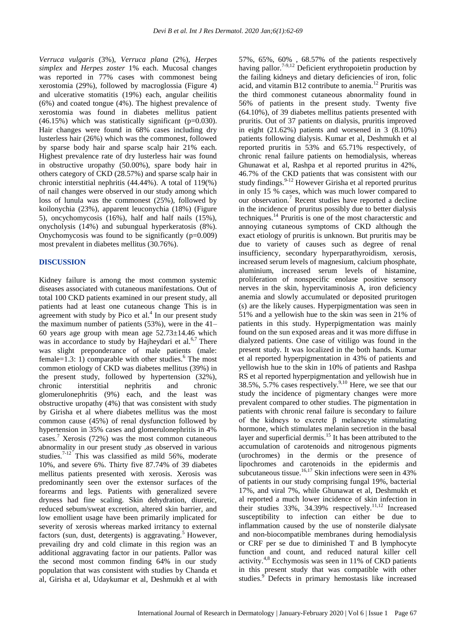*Verruca vulgaris* (3%), *Verruca plana* (2%), *Herpes simplex* and *Herpes zoster* 1% each. Mucosal changes was reported in 77% cases with commonest being xerostomia (29%), followed by macroglossia (Figure 4) and ulcerative stomatitis (19%) each, angular cheilitis (6%) and coated tongue (4%). The highest prevalence of xerostomia was found in diabetes mellitus patient  $(46.15%)$  which was statistically significant (p=0.030). Hair changes were found in 68% cases including dry lusterless hair (26%) which was the commonest, followed by sparse body hair and sparse scalp hair 21% each. Highest prevalence rate of dry lusterless hair was found in obstructive uropathy (50.00%), spare body hair in others category of CKD (28.57%) and sparse scalp hair in chronic interstitial nephritis (44.44%). A total of 119(%) of nail changes were observed in our study among which loss of lunula was the commonest (25%), followed by koilonychia (23%), apparent leuconychia (18%) (Figure 5), oncychomycosis (16%), half and half nails (15%), onycholysis (14%) and subungual hyperkeratosis (8%). Onychomycosis was found to be significantly  $(p=0.009)$ most prevalent in diabetes mellitus (30.76%).

#### **DISCUSSION**

Kidney failure is among the most common systemic diseases associated with cutaneous manifestations. Out of total 100 CKD patients examined in our present study, all patients had at least one cutaneous change This is in agreement with study by Pico et al. $4$  In our present study the maximum number of patients (53%), were in the 41– 60 years age group with mean age  $52.73\pm14.46$  which was in accordance to study by Hajheydari et al. $6,7$  There was slight preponderance of male patients (male: female=1.3: 1) comparable with other studies.<sup>6</sup> The most common etiology of CKD was diabetes mellitus (39%) in the present study, followed by hypertension (32%), chronic interstitial nephritis and chronic glomerulonephritis (9%) each, and the least was obstructive uropathy (4%) that was consistent with study by Girisha et al where diabetes mellitus was the most common cause (45%) of renal dysfunction followed by hypertension in 35% cases and glomerulonephritis in 4% cases.<sup>7</sup> Xerosis (72%) was the most common cutaneous abnormality in our present study ,as observed in various studies.<sup>7-12</sup> This was classified as mild 56%, moderate 10%, and severe 6%. Thirty five 87.74% of 39 diabetes mellitus patients presented with xerosis. Xerosis was predominantly seen over the extensor surfaces of the forearms and legs. Patients with generalized severe dryness had fine scaling. Skin dehydration, diuretic, reduced sebum/sweat excretion, altered skin barrier, and low emollient usage have been primarily implicated for severity of xerosis whereas marked irritancy to external factors (sun, dust, detergents) is aggravating.<sup>5</sup> However, prevailing dry and cold climate in this region was an additional aggravating factor in our patients. Pallor was the second most common finding 64% in our study population that was consistent with studies by Chanda et al, Girisha et al, Udaykumar et al, Deshmukh et al with 57%, 65%, 60% , 68.57% of the patients respectively having pallor.<sup>7-9,12</sup> Deficient erythropoietin production by the failing kidneys and dietary deficiencies of iron, folic acid, and vitamin B12 contribute to anemia.<sup>12</sup> Pruritis was the third commonest cutaneous abnormality found in 56% of patients in the present study. Twenty five (64.10%), of 39 diabetes mellitus patients presented with pruritis. Out of 37 patients on dialysis, pruritis improved in eight (21.62%) patients and worsened in 3 (8.10%) patients following dialysis. Kumar et al, Deshmukh et al reported pruritis in 53% and 65.71% respectively, of chronic renal failure patients on hemodialysis, whereas Ghunawat et al, Rashpa et al reported pruritus in 42%, 46.7% of the CKD patients that was consistent with our study findings.<sup>9-12</sup> However Girisha et al reported pruritus in only 15 % cases, which was much lower compared to our observation.<sup>7</sup> Recent studies have reported a decline in the incidence of pruritus possibly due to better dialysis techniques.<sup>14</sup> Pruritis is one of the most characterstic and annoying cutaneous symptoms of CKD although the exact etiology of pruritis is unknown. But pruritis may be due to variety of causes such as degree of renal insufficiency, secondary hyperparathyroidism, xerosis, increased serum levels of magnesium, calcium phosphate, aluminium, increased serum levels of histamine, proliferation of nonspecific enolase positive sensory nerves in the skin, hypervitaminosis A, iron deficiency anemia and slowly accumulated or deposited pruritogen (s) are the likely causes. Hyperpigmentation was seen in 51% and a yellowish hue to the skin was seen in 21% of patients in this study. Hyperpigmentation was mainly found on the sun exposed areas and it was more diffuse in dialyzed patients. One case of vitiligo was found in the present study. It was localized in the both hands. Kumar et al reported hyperpigmentation in 43% of patients and yellowish hue to the skin in 10% of patients and Rashpa RS et al reported hyperpigmentation and yellowish hue in 38.5%, 5.7% cases respectively. $9,10$  Here, we see that our study the incidence of pigmentary changes were more prevalent compared to other studies. The pigmentation in patients with chronic renal failure is secondary to failure of the kidneys to excrete  $\beta$  melanocyte stimulating hormone, which stimulates melanin secretion in the basal layer and superficial dermis.<sup>15</sup> It has been attributed to the accumulation of carotenoids and nitrogenous pigments (urochromes) in the dermis or the presence of lipochromes and carotenoids in the epidermis and subcutaneous tissue.<sup>16,17</sup> Skin infections were seen in 43% of patients in our study comprising fungal 19%, bacterial 17%, and viral 7%, while Ghunawat et al, Deshmukh et al reported a much lower incidence of skin infection in their studies 33%, 34.39% respectively.<sup>11,12</sup> Increased susceptibility to infection can either be due to inflammation caused by the use of nonsterile dialysate and non-biocompatible membranes during hemodialysis or CRF per se due to diminished T and B lymphocyte function and count, and reduced natural killer cell activity.4,8 Ecchymosis was seen in 11% of CKD patients in this present study that was compatible with other studies.<sup>9</sup> Defects in primary hemostasis like increased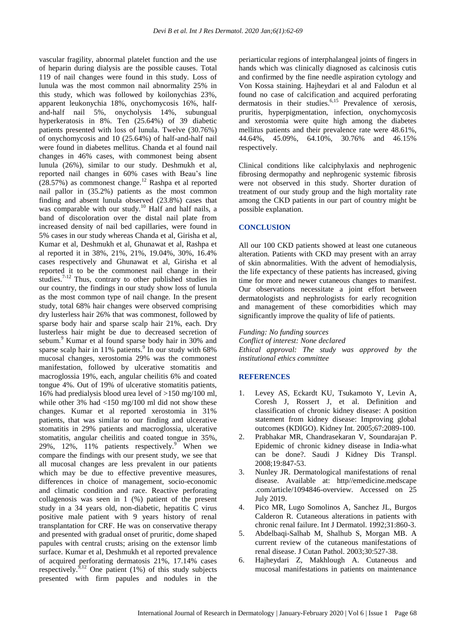vascular fragility, abnormal platelet function and the use of heparin during dialysis are the possible causes. Total 119 of nail changes were found in this study. Loss of lunula was the most common nail abnormality 25% in this study, which was followed by koilonychias 23%, apparent leukonychia 18%, onychomycosis 16%, halfand-half nail 5%, onycholysis 14%, subungual hyperkeratosis in 8%. Ten (25.64%) of 39 diabetic patients presented with loss of lunula. Twelve (30.76%) of onychomycosis and 10 (25.64%) of half-and-half nail were found in diabetes mellitus. Chanda et al found nail changes in 46% cases, with commonest being absent lunula (26%), similar to our study. Deshmukh et al, reported nail changes in 60% cases with Beau's line  $(28.57%)$  as commonest change.<sup>12</sup> Rashpa et al reported nail pallor in (35.2%) patients as the most common finding and absent lunula observed (23.8%) cases that was comparable with our study.<sup>10</sup> Half and half nails, a band of discoloration over the distal nail plate from increased density of nail bed capillaries, were found in 5% cases in our study whereas Chanda et al, Girisha et al, Kumar et al, Deshmukh et al, Ghunawat et al, Rashpa et al reported it in 38%, 21%, 21%, 19.04%, 30%, 16.4% cases respectively and Ghunawat et al, Girisha et al reported it to be the commonest nail change in their studies.<sup>7-12</sup> Thus, contrary to other published studies in our country, the findings in our study show loss of lunula as the most common type of nail change. In the present study, total 68% hair changes were observed comprising dry lusterless hair 26% that was commonest, followed by sparse body hair and sparse scalp hair 21%, each. Dry lusterless hair might be due to decreased secretion of sebum.<sup>9</sup> Kumar et al found sparse body hair in 30% and sparse scalp hair in 11% patients. 9 In our study with 68% mucosal changes, xerostomia 29% was the commonest manifestation, followed by ulcerative stomatitis and macroglossia 19%, each, angular cheilitis 6% and coated tongue 4%. Out of 19% of ulcerative stomatitis patients, 16% had predialysis blood urea level of >150 mg/100 ml, while other 3% had <150 mg/100 ml did not show these changes. Kumar et al reported xerostomia in 31% patients, that was similar to our finding and ulcerative stomatitis in 29% patients and macroglossia, ulcerative stomatitis, angular cheilitis and coated tongue in 35%, 29%, 12%, 11% patients respectively.<sup>9</sup> When we compare the findings with our present study, we see that all mucosal changes are less prevalent in our patients which may be due to effective preventive measures, differences in choice of management, socio-economic and climatic condition and race. Reactive perforating collagenosis was seen in 1 (%) patient of the present study in a 34 years old, non-diabetic, hepatitis C virus positive male patient with 9 years history of renal transplantation for CRF. He was on conservative therapy and presented with gradual onset of pruritic, dome shaped papules with central crusts; arising on the extensor limb surface. Kumar et al, Deshmukh et al reported prevalence of acquired perforating dermatosis  $21\%$ ,  $17.14\%$  cases respectively.<sup>9,12</sup> One patient (1%) of this study subjects presented with firm papules and nodules in the periarticular regions of interphalangeal joints of fingers in hands which was clinically diagnosed as calcinosis cutis and confirmed by the fine needle aspiration cytology and Von Kossa staining. Hajheydari et al and Falodun et al found no case of calcification and acquired perforating dermatosis in their studies.6,15 Prevalence of xerosis, pruritis, hyperpigmentation, infection, onychomycosis and xerostomia were quite high among the diabetes mellitus patients and their prevalence rate were 48.61%, 44.64%, 45.09%, 64.10%, 30.76% and 46.15% respectively.

Clinical conditions like calciphylaxis and nephrogenic fibrosing dermopathy and nephrogenic systemic fibrosis were not observed in this study. Shorter duration of treatment of our study group and the high mortality rate among the CKD patients in our part of country might be possible explanation.

#### **CONCLUSION**

All our 100 CKD patients showed at least one cutaneous alteration. Patients with CKD may present with an array of skin abnormalities. With the advent of hemodialysis, the life expectancy of these patients has increased, giving time for more and newer cutaneous changes to manifest. Our observations necessitate a joint effort between dermatologists and nephrologists for early recognition and management of these comorbidities which may significantly improve the quality of life of patients.

#### *Funding: No funding sources*

*Conflict of interest: None declared Ethical approval: The study was approved by the institutional ethics committee*

#### **REFERENCES**

- 1. Levey AS, Eckardt KU, Tsukamoto Y, Levin A, Coresh J, Rossert J, et al. Definition and classification of chronic kidney disease: A position statement from kidney disease: Improving global outcomes (KDIGO). Kidney Int. 2005;67:2089-100.
- 2. Prabhakar MR, Chandrasekaran V, Soundarajan P. Epidemic of chronic kidney disease in India-what can be done?. Saudi J Kidney Dis Transpl. 2008;19:847-53.
- 3. Nunley JR. Dermatological manifestations of renal disease. Available at: http//emedicine.medscape .com/article/1094846-overview. Accessed on 25 July 2019.
- 4. Pico MR, Lugo Somolinos A, Sanchez JL, Burgos Calderon R. Cutaneous alterations in patients with chronic renal failure. Int J Dermatol. 1992;31:860-3.
- 5. Abdelbaqi-Salhab M, Shalhub S, Morgan MB. A current review of the cutaneous manifestations of renal disease. J Cutan Pathol. 2003;30:527-38.
- 6. Hajheydari Z, Makhlough A. Cutaneous and mucosal manifestations in patients on maintenance